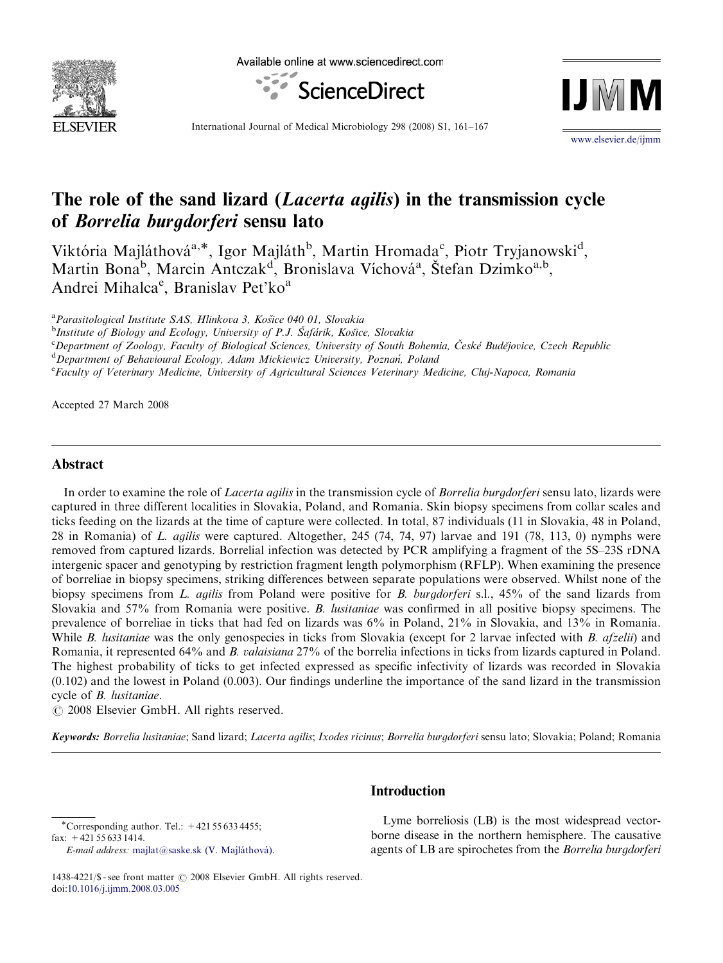

Available online at www.sciencedirect.com





International Journal of Medical Microbiology 298 (2008) S1, 161–167

<www.elsevier.de/ijmm>

# The role of the sand lizard (*Lacerta agilis*) in the transmission cycle of Borrelia burgdorferi sensu lato

Viktória Majláthová<sup>a, $^*$ </sup>, Igor Majláth<sup>b</sup>, Martin Hromada<sup>c</sup>, Piotr Tryjanowski<sup>d</sup>, Martin Bona<sup>b</sup>, Marcin Antczak<sup>d</sup>, Bronislava Víchová<sup>a</sup>, Štefan Dzimko<sup>a,b</sup>, Andrei Mihalcae, Branislav Pet'ko<sup>a</sup>

<sup>a</sup> Parasitological Institute SAS, Hlinkova 3, Košice 040 01, Slovakia<br><sup>b</sup>Institute of Biology and Ecology, University of P. L. Šafárik, Košic

 $b$ Institute of Biology and Ecology, University of P.J. Safárik, Kosı̈ce, Slovakia <sup>c</sup>Department of Zoology, Faculty of Biological Sciences, University of South Bohemia, České Budějovice, Czech Republic  ${}^d$ Department of Behavioural Ecology, Adam Mickiewicz University, Poznań, Poland

Faculty of Veterinary Medicine, University of Agricultural Sciences Veterinary Medicine, Cluj-Napoca, Romania

Accepted 27 March 2008

# Abstract

In order to examine the role of *Lacerta agilis* in the transmission cycle of *Borrelia burgdorferi* sensu lato, lizards were captured in three different localities in Slovakia, Poland, and Romania. Skin biopsy specimens from collar scales and ticks feeding on the lizards at the time of capture were collected. In total, 87 individuals (11 in Slovakia, 48 in Poland, 28 in Romania) of L. agilis were captured. Altogether, 245 (74, 74, 97) larvae and 191 (78, 113, 0) nymphs were removed from captured lizards. Borrelial infection was detected by PCR amplifying a fragment of the 5S–23S rDNA intergenic spacer and genotyping by restriction fragment length polymorphism (RFLP). When examining the presence of borreliae in biopsy specimens, striking differences between separate populations were observed. Whilst none of the biopsy specimens from L. agilis from Poland were positive for B. burgdorferi s.l., 45% of the sand lizards from Slovakia and 57% from Romania were positive. B. lusitaniae was confirmed in all positive biopsy specimens. The prevalence of borreliae in ticks that had fed on lizards was 6% in Poland, 21% in Slovakia, and 13% in Romania. While B. lusitaniae was the only genospecies in ticks from Slovakia (except for 2 larvae infected with B. afzelii) and Romania, it represented 64% and B. valaisiana 27% of the borrelia infections in ticks from lizards captured in Poland. The highest probability of ticks to get infected expressed as specific infectivity of lizards was recorded in Slovakia (0.102) and the lowest in Poland (0.003). Our findings underline the importance of the sand lizard in the transmission cycle of B. lusitaniae.

 $C$  2008 Elsevier GmbH. All rights reserved.

Keywords: Borrelia lusitaniae; Sand lizard; Lacerta agilis; Ixodes ricinus; Borrelia burgdorferi sensu lato; Slovakia; Poland; Romania

 $\overline{\text{''Corresponding author}}$ . Tel.:  $+421556334455$ ;

fax: +421 55 633 1414.

 $E$ -mail address: majlat@saske.sk (V. Majláthová).

# Introduction

Lyme borreliosis (LB) is the most widespread vectorborne disease in the northern hemisphere. The causative agents of LB are spirochetes from the Borrelia burgdorferi

<sup>1438-4221/\$ -</sup> see front matter  $\odot$  2008 Elsevier GmbH. All rights reserved. doi:[10.1016/j.ijmm.2008.03.005](dx.doi.org/10.1016/j.ijmm.2008.03.005)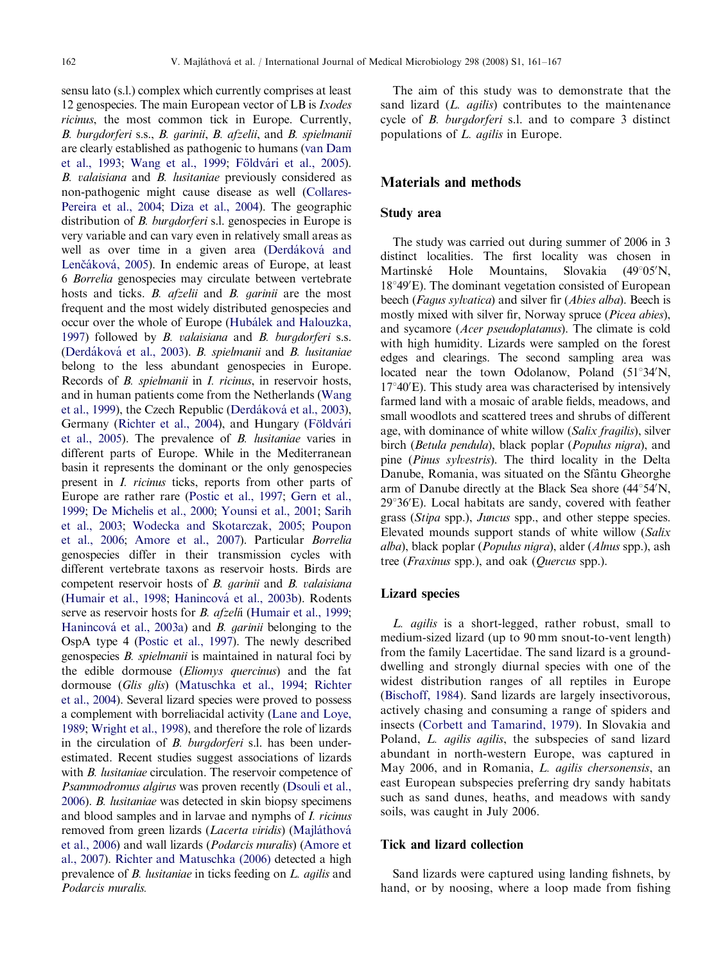sensu lato (s.l.) complex which currently comprises at least 12 genospecies. The main European vector of LB is *Ixodes* ricinus, the most common tick in Europe. Currently, B. burgdorferi s.s., B. garinii, B. afzelii, and B. spielmanii are clearly established as pathogenic to humans [\(van Dam](#page-6-0) [et al., 1993;](#page-6-0) [Wang et al., 1999](#page-6-0); Földvári et al., 2005). B. valaisiana and B. lusitaniae previously considered as non-pathogenic might cause disease as well [\(Collares-](#page-5-0)[Pereira et al., 2004](#page-5-0); [Diza et al., 2004](#page-6-0)). The geographic distribution of *B. burgdorferi* s.l. genospecies in Europe is very variable and can vary even in relatively small areas as well as over time in a given area (Derdáková and Lenčáková, 2005). In endemic areas of Europe, at least 6 Borrelia genospecies may circulate between vertebrate hosts and ticks. *B. afzelii* and *B. garinii* are the most frequent and the most widely distributed genospecies and occur over the whole of Europe (Hubálek and Halouzka, [1997](#page-6-0)) followed by B. valaisiana and B. burgdorferi s.s. (Derdáková [et al., 2003\)](#page-5-0). B. spielmanii and B. lusitaniae belong to the less abundant genospecies in Europe. Records of B. spielmanii in I. ricinus, in reservoir hosts, and in human patients come from the Netherlands ([Wang](#page-6-0) [et al., 1999](#page-6-0)), the Czech Republic (Derdáková et al., 2003), Germany [\(Richter et al., 2004\)](#page-6-0), and Hungary (Földvári [et al., 2005](#page-6-0)). The prevalence of B. lusitaniae varies in different parts of Europe. While in the Mediterranean basin it represents the dominant or the only genospecies present in I. ricinus ticks, reports from other parts of Europe are rather rare ([Postic et al., 1997;](#page-6-0) [Gern et al.,](#page-6-0) [1999](#page-6-0); [De Michelis et al., 2000](#page-5-0); [Younsi et al., 2001;](#page-6-0) [Sarih](#page-6-0) [et al., 2003](#page-6-0); [Wodecka and Skotarczak, 2005;](#page-6-0) [Poupon](#page-6-0) [et al., 2006](#page-6-0); [Amore et al., 2007\)](#page-5-0). Particular Borrelia genospecies differ in their transmission cycles with different vertebrate taxons as reservoir hosts. Birds are competent reservoir hosts of B. garinii and B. valaisiana ([Humair et al., 1998](#page-6-0); Hanincová [et al., 2003b](#page-6-0)). Rodents serve as reservoir hosts for *B. afzeli*i [\(Humair et al., 1999](#page-6-0); Hanincová [et al., 2003a\)](#page-6-0) and B. *garinii* belonging to the OspA type 4 [\(Postic et al., 1997\)](#page-6-0). The newly described genospecies B. spielmanii is maintained in natural foci by the edible dormouse (Eliomys quercinus) and the fat dormouse (Glis glis) ([Matuschka et al., 1994;](#page-6-0) [Richter](#page-6-0) [et al., 2004\)](#page-6-0). Several lizard species were proved to possess a complement with borreliacidal activity ([Lane and Loye,](#page-6-0) [1989](#page-6-0); [Wright et al., 1998\)](#page-6-0), and therefore the role of lizards in the circulation of *B. burgdorferi* s.l. has been underestimated. Recent studies suggest associations of lizards with *B. lusitaniae* circulation. The reservoir competence of Psammodromus algirus was proven recently [\(Dsouli et al.,](#page-6-0) [2006](#page-6-0)). B. lusitaniae was detected in skin biopsy specimens and blood samples and in larvae and nymphs of I. ricinus removed from green lizards (*Lacerta viridis*) (Majláthová [et al., 2006\)](#page-6-0) and wall lizards (Podarcis muralis) [\(Amore et](#page-5-0) [al., 2007\)](#page-5-0). [Richter and Matuschka \(2006\)](#page-6-0) detected a high prevalence of B. lusitaniae in ticks feeding on L. agilis and Podarcis muralis.

The aim of this study was to demonstrate that the sand lizard (*L. agilis*) contributes to the maintenance cycle of B. burgdorferi s.l. and to compare 3 distinct populations of L. agilis in Europe.

## Materials and methods

## Study area

The study was carried out during summer of 2006 in 3 distinct localities. The first locality was chosen in Martinské Hole Mountains, Slovakia  $(49^{\circ}05'N,$ 18°49'E). The dominant vegetation consisted of European beech (Fagus sylvatica) and silver fir (Abies alba). Beech is mostly mixed with silver fir, Norway spruce (*Picea abies*), and sycamore (Acer pseudoplatanus). The climate is cold with high humidity. Lizards were sampled on the forest edges and clearings. The second sampling area was located near the town Odolanow, Poland (51°34'N, 17°40'E). This study area was characterised by intensively farmed land with a mosaic of arable fields, meadows, and small woodlots and scattered trees and shrubs of different age, with dominance of white willow (Salix fragilis), silver birch (Betula pendula), black poplar (Populus nigra), and pine (Pinus sylvestris). The third locality in the Delta Danube, Romania, was situated on the Sfântu Gheorghe arm of Danube directly at the Black Sea shore  $(44^{\circ}54'N,$ 29°36'E). Local habitats are sandy, covered with feather grass (Stipa spp.), Juncus spp., and other steppe species. Elevated mounds support stands of white willow (Salix alba), black poplar (Populus nigra), alder (Alnus spp.), ash tree (Fraxinus spp.), and oak (Quercus spp.).

#### Lizard species

L. agilis is a short-legged, rather robust, small to medium-sized lizard (up to 90 mm snout-to-vent length) from the family Lacertidae. The sand lizard is a grounddwelling and strongly diurnal species with one of the widest distribution ranges of all reptiles in Europe ([Bischoff, 1984\)](#page-5-0). Sand lizards are largely insectivorous, actively chasing and consuming a range of spiders and insects ([Corbett and Tamarind, 1979\)](#page-5-0). In Slovakia and Poland, *L. agilis agilis*, the subspecies of sand lizard abundant in north-western Europe, was captured in May 2006, and in Romania, L. agilis chersonensis, an east European subspecies preferring dry sandy habitats such as sand dunes, heaths, and meadows with sandy soils, was caught in July 2006.

#### Tick and lizard collection

Sand lizards were captured using landing fishnets, by hand, or by noosing, where a loop made from fishing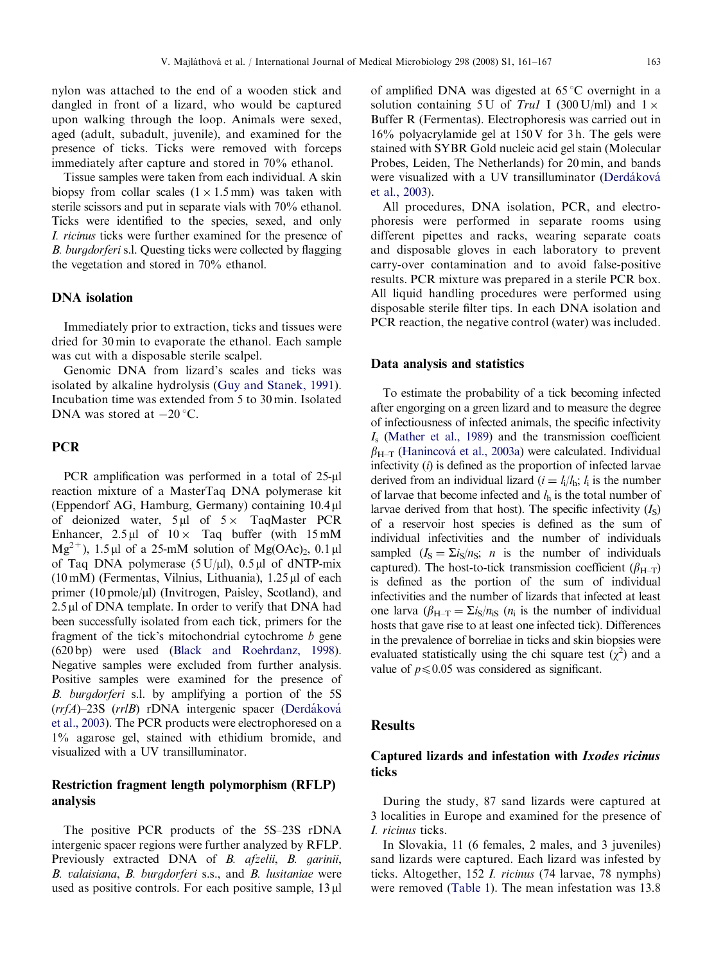nylon was attached to the end of a wooden stick and dangled in front of a lizard, who would be captured upon walking through the loop. Animals were sexed, aged (adult, subadult, juvenile), and examined for the presence of ticks. Ticks were removed with forceps immediately after capture and stored in 70% ethanol.

Tissue samples were taken from each individual. A skin biopsy from collar scales  $(1 \times 1.5 \text{ mm})$  was taken with sterile scissors and put in separate vials with 70% ethanol. Ticks were identified to the species, sexed, and only I. ricinus ticks were further examined for the presence of B. burgdorferi s.l. Questing ticks were collected by flagging the vegetation and stored in 70% ethanol.

#### DNA isolation

Immediately prior to extraction, ticks and tissues were dried for 30 min to evaporate the ethanol. Each sample was cut with a disposable sterile scalpel.

Genomic DNA from lizard's scales and ticks was isolated by alkaline hydrolysis [\(Guy and Stanek, 1991\)](#page-6-0). Incubation time was extended from 5 to 30 min. Isolated DNA was stored at  $-20$  °C.

## **PCR**

PCR amplification was performed in a total of  $25-\mu l$ reaction mixture of a MasterTaq DNA polymerase kit (Eppendorf AG, Hamburg, Germany) containing 10.4 ml of deionized water,  $5 \mu$ l of  $5 \times$  TaqMaster PCR Enhancer,  $2.5 \mu l$  of  $10 \times$  Taq buffer (with 15 mM  $Mg^{2+}$ ), 1.5 µl of a 25-mM solution of Mg(OAc)<sub>2</sub>, 0.1 µl of Taq DNA polymerase  $(5 U/µl)$ ,  $(0.5 µl)$  of dNTP-mix (10 mM) (Fermentas, Vilnius, Lithuania),  $1.25 \mu$ l of each primer  $(10 \text{ pmole/µl})$  (Invitrogen, Paisley, Scotland), and  $2.5 \mu$ l of DNA template. In order to verify that DNA had been successfully isolated from each tick, primers for the fragment of the tick's mitochondrial cytochrome b gene (620 bp) were used ([Black and Roehrdanz, 1998\)](#page-5-0). Negative samples were excluded from further analysis. Positive samples were examined for the presence of B. burgdorferi s.l. by amplifying a portion of the 5S  $(rrfA)$ –23S  $(rrlB)$  rDNA intergenic spacer (Derdáková [et al., 2003\)](#page-5-0). The PCR products were electrophoresed on a 1% agarose gel, stained with ethidium bromide, and visualized with a UV transilluminator.

# Restriction fragment length polymorphism (RFLP) analysis

The positive PCR products of the 5S–23S rDNA intergenic spacer regions were further analyzed by RFLP. Previously extracted DNA of B. afzelii, B. garinii, B. valaisiana, B. burgdorferi s.s., and B. lusitaniae were used as positive controls. For each positive sample,  $13 \mu$ l of amplified DNA was digested at  $65^{\circ}$ C overnight in a solution containing 5 U of Trul I (300 U/ml) and  $1 \times$ Buffer R (Fermentas). Electrophoresis was carried out in  $16\%$  polyacrylamide gel at  $150V$  for 3h. The gels were stained with SYBR Gold nucleic acid gel stain (Molecular Probes, Leiden, The Netherlands) for 20 min, and bands were visualized with a UV transilluminator (Derdáková [et al., 2003\)](#page-5-0).

All procedures, DNA isolation, PCR, and electrophoresis were performed in separate rooms using different pipettes and racks, wearing separate coats and disposable gloves in each laboratory to prevent carry-over contamination and to avoid false-positive results. PCR mixture was prepared in a sterile PCR box. All liquid handling procedures were performed using disposable sterile filter tips. In each DNA isolation and PCR reaction, the negative control (water) was included.

#### Data analysis and statistics

To estimate the probability of a tick becoming infected after engorging on a green lizard and to measure the degree of infectiousness of infected animals, the specific infectivity  $I<sub>s</sub>$  ([Mather et al., 1989\)](#page-6-0) and the transmission coefficient  $\beta_{H-T}$  (Hanincová [et al., 2003a\)](#page-6-0) were calculated. Individual infectivity  $(i)$  is defined as the proportion of infected larvae derived from an individual lizard ( $i = l_i/l_h$ ;  $l_i$  is the number of larvae that become infected and  $l<sub>h</sub>$  is the total number of larvae derived from that host). The specific infectivity  $(I<sub>S</sub>)$ of a reservoir host species is defined as the sum of individual infectivities and the number of individuals sampled  $(I_S = \sum i_S/n_S; n$  is the number of individuals captured). The host-to-tick transmission coefficient ( $\beta_{H-T}$ ) is defined as the portion of the sum of individual infectivities and the number of lizards that infected at least one larva ( $\beta_{H-T} = \Sigma i_S/n_{iS}$  ( $n_i$  is the number of individual hosts that gave rise to at least one infected tick). Differences in the prevalence of borreliae in ticks and skin biopsies were evaluated statistically using the chi square test  $(\chi^2)$  and a value of  $p \le 0.05$  was considered as significant.

# **Results**

# Captured lizards and infestation with Ixodes ricinus ticks

During the study, 87 sand lizards were captured at 3 localities in Europe and examined for the presence of I. ricinus ticks.

In Slovakia, 11 (6 females, 2 males, and 3 juveniles) sand lizards were captured. Each lizard was infested by ticks. Altogether, 152 I. ricinus (74 larvae, 78 nymphs) were removed ([Table 1](#page-3-0)). The mean infestation was 13.8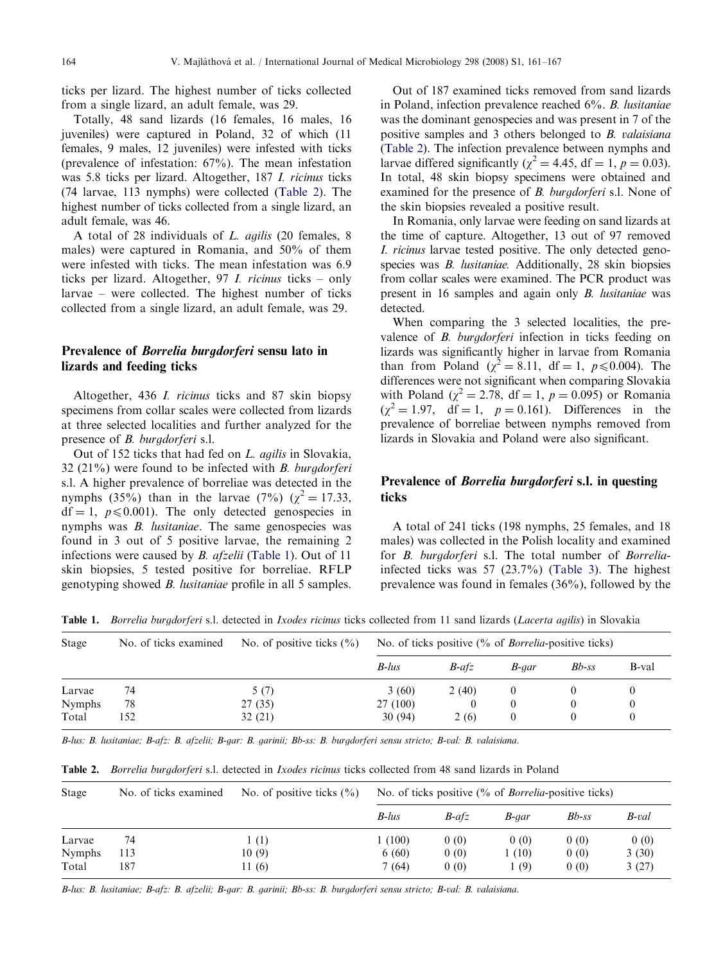<span id="page-3-0"></span>ticks per lizard. The highest number of ticks collected from a single lizard, an adult female, was 29.

Totally, 48 sand lizards (16 females, 16 males, 16 juveniles) were captured in Poland, 32 of which (11 females, 9 males, 12 juveniles) were infested with ticks (prevalence of infestation: 67%). The mean infestation was 5.8 ticks per lizard. Altogether, 187 I. ricinus ticks (74 larvae, 113 nymphs) were collected (Table 2). The highest number of ticks collected from a single lizard, an adult female, was 46.

A total of 28 individuals of L. agilis (20 females, 8 males) were captured in Romania, and 50% of them were infested with ticks. The mean infestation was 6.9 ticks per lizard. Altogether, 97 I. ricinus ticks – only larvae – were collected. The highest number of ticks collected from a single lizard, an adult female, was 29.

# Prevalence of Borrelia burgdorferi sensu lato in lizards and feeding ticks

Altogether, 436 I. ricinus ticks and 87 skin biopsy specimens from collar scales were collected from lizards at three selected localities and further analyzed for the presence of B. burgdorferi s.l.

Out of 152 ticks that had fed on L. agilis in Slovakia, 32 (21%) were found to be infected with B. burgdorferi s.l. A higher prevalence of borreliae was detected in the nymphs (35%) than in the larvae (7%) ( $\chi^2 = 17.33$ ,  $df = 1$ ,  $p \le 0.001$ ). The only detected genospecies in nymphs was *B. lusitaniae*. The same genospecies was found in 3 out of 5 positive larvae, the remaining 2 infections were caused by B. afzelii (Table 1). Out of 11 skin biopsies, 5 tested positive for borreliae. RFLP genotyping showed B. lusitaniae profile in all 5 samples.

Out of 187 examined ticks removed from sand lizards in Poland, infection prevalence reached 6%. B. lusitaniae was the dominant genospecies and was present in 7 of the positive samples and 3 others belonged to B. valaisiana (Table 2). The infection prevalence between nymphs and larvae differed significantly ( $\chi^2$  = 4.45, df = 1, p = 0.03). In total, 48 skin biopsy specimens were obtained and examined for the presence of *B. burgdorferi* s.l. None of the skin biopsies revealed a positive result.

In Romania, only larvae were feeding on sand lizards at the time of capture. Altogether, 13 out of 97 removed I. ricinus larvae tested positive. The only detected genospecies was *B. lusitaniae*. Additionally, 28 skin biopsies from collar scales were examined. The PCR product was present in 16 samples and again only B. lusitaniae was detected.

When comparing the 3 selected localities, the prevalence of *B. burgdorferi* infection in ticks feeding on lizards was significantly higher in larvae from Romania than from Poland ( $\chi^2 = 8.11$ , df = 1,  $p \le 0.004$ ). The differences were not significant when comparing Slovakia with Poland ( $\chi^2 = 2.78$ , df = 1, p = 0.095) or Romania  $(\chi^2 = 1.97, \text{ df} = 1, p = 0.161)$ . Differences in the prevalence of borreliae between nymphs removed from lizards in Slovakia and Poland were also significant.

# Prevalence of Borrelia burgdorferi s.l. in questing ticks

A total of 241 ticks (198 nymphs, 25 females, and 18 males) was collected in the Polish locality and examined for *B. burgdorferi* s.l. The total number of *Borrelia*infected ticks was 57 (23.7%) ([Table 3\)](#page-4-0). The highest prevalence was found in females (36%), followed by the

Stage No. of ticks examined No. of positive ticks (%) No. of ticks positive (% of Borrelia-positive ticks) B-lus B-afz B-gar Bb-ss B-val Larvae 74 5 (7) 3 (60) 2 (40) 0 0 0 Nymphs 78 27 (35) 27 (100) 0 0 0 0 Total 152 32 (21) 30 (94) 2 (6) 0 0 0

Table 1. Borrelia burgdorferi s.l. detected in Ixodes ricinus ticks collected from 11 sand lizards (Lacerta agilis) in Slovakia

B-lus: B. lusitaniae; B-afz: B. afzelii; B-gar: B. garinii; Bb-ss: B. burgdorferi sensu stricto; B-val: B. valaisiana.

Table 2. Borrelia burgdorferi s.l. detected in *Ixodes ricinus* ticks collected from 48 sand lizards in Poland

| No. of positive ticks $(\% )$<br>No. of ticks examined |                 | No. of ticks positive $\frac{0}{0}$ of <i>Borrelia</i> -positive ticks) |              |              |                        |  |  |
|--------------------------------------------------------|-----------------|-------------------------------------------------------------------------|--------------|--------------|------------------------|--|--|
|                                                        | $B$ -lus        | $B$ -afz                                                                | B-aar        | $Bb$ -ss     | B-val                  |  |  |
| (1)<br>10(9)                                           | 1(100)<br>6(60) | 0(0)<br>0(0)                                                            | 0(0)<br>(10) | 0(0)<br>0(0) | 0(0)<br>3(30)<br>3(27) |  |  |
|                                                        | 11 (6)          | 7(64)                                                                   | 0(0)         | (9)          | 0(0)                   |  |  |

B-lus: B. lusitaniae; B-afz: B. afzelii; B-gar: B. garinii; Bb-ss: B. burgdorferi sensu stricto; B-val: B. valaisiana.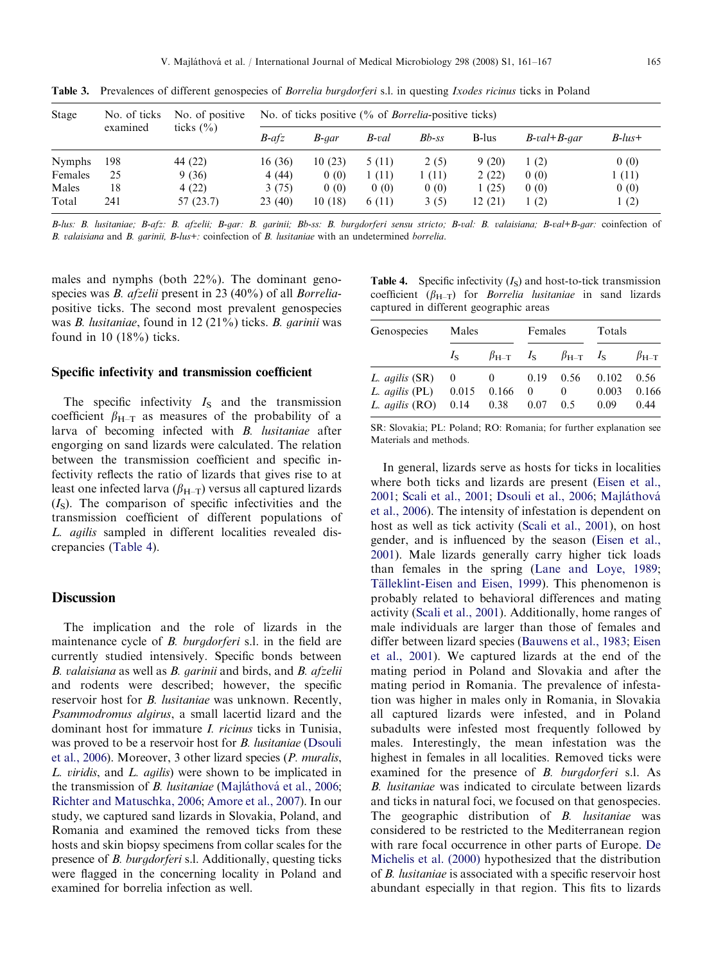| Stage         | No. of ticks<br>examined | No. of positive<br>ticks $(\% )$ | No. of ticks positive $\frac{0}{0}$ of <i>Borrelia</i> -positive ticks) |        |        |          |        |                    |           |
|---------------|--------------------------|----------------------------------|-------------------------------------------------------------------------|--------|--------|----------|--------|--------------------|-----------|
|               |                          |                                  | $B$ -afz                                                                | B-gar  | B-val  | $Bb$ -ss | B-lus  | $B$ -val+ $B$ -aar | $B$ -lus+ |
| <b>Nymphs</b> | 198                      | 44 (22)                          | 16 (36)                                                                 | 10(23) | 5 (11) | 2(5)     | 9(20)  | 1(2)               | 0(0)      |
| Females       | 25                       | 9(36)                            | 4 (44)                                                                  | 0(0)   | 1(11)  | 1(11)    | 2(22)  | 0(0)               | 1(11)     |
| Males         | 18                       | 4(22)                            | 3(75)                                                                   | 0(0)   | 0(0)   | 0(0)     | (25)   | 0(0)               | 0(0)      |
| Total         | 241                      | 57 (23.7)                        | 23(40)                                                                  | 10(18) | 6(11)  | 3(5)     | 12(21) | 1(2)               | 1(2)      |

<span id="page-4-0"></span>Table 3. Prevalences of different genospecies of *Borrelia burgdorferi* s.l. in questing *Ixodes ricinus* ticks in Poland

B-lus: B. lusitaniae; B-afz: B. afzelii; B-gar: B. garinii; Bb-ss: B. burgdorferi sensu stricto; B-val: B. valaisiana; B-val+B-gar: coinfection of B. valaisiana and B. garinii, B-lus+: coinfection of B. lusitaniae with an undetermined borrelia.

males and nymphs (both 22%). The dominant genospecies was *B. afzelii* present in 23 (40%) of all *Borrelia*positive ticks. The second most prevalent genospecies was B. lusitaniae, found in 12 (21%) ticks. B. garinii was found in 10 (18%) ticks.

#### Specific infectivity and transmission coefficient

The specific infectivity  $I<sub>S</sub>$  and the transmission coefficient  $\beta_{H-T}$  as measures of the probability of a larva of becoming infected with B. lusitaniae after engorging on sand lizards were calculated. The relation between the transmission coefficient and specific infectivity reflects the ratio of lizards that gives rise to at least one infected larva  $(\beta_{H-T})$  versus all captured lizards  $(I<sub>S</sub>)$ . The comparison of specific infectivities and the transmission coefficient of different populations of L. agilis sampled in different localities revealed discrepancies (Table 4).

## **Discussion**

The implication and the role of lizards in the maintenance cycle of *B. burgdorferi* s.l. in the field are currently studied intensively. Specific bonds between B. valaisiana as well as B. garinii and birds, and B. afzelii and rodents were described; however, the specific reservoir host for B. lusitaniae was unknown. Recently, Psammodromus algirus, a small lacertid lizard and the dominant host for immature I. ricinus ticks in Tunisia, was proved to be a reservoir host for *B. lusitaniae* ([Dsouli](#page-6-0) [et al., 2006\)](#page-6-0). Moreover, 3 other lizard species (P. muralis, L. viridis, and L. agilis) were shown to be implicated in the transmission of *B. lusitaniae* (Majláthová et al., 2006; [Richter and Matuschka, 2006;](#page-6-0) [Amore et al., 2007](#page-5-0)). In our study, we captured sand lizards in Slovakia, Poland, and Romania and examined the removed ticks from these hosts and skin biopsy specimens from collar scales for the presence of B. burgdorferi s.l. Additionally, questing ticks were flagged in the concerning locality in Poland and examined for borrelia infection as well.

**Table 4.** Specific infectivity  $(I<sub>S</sub>)$  and host-to-tick transmission coefficient ( $\beta_{H-T}$ ) for *Borrelia lusitaniae* in sand lizards captured in different geographic areas

| Genospecies                                        | Males                     |                                                    | Females                  |                                     | Totals                 |                       |
|----------------------------------------------------|---------------------------|----------------------------------------------------|--------------------------|-------------------------------------|------------------------|-----------------------|
|                                                    | $I_{\rm S}$               | $\beta_{\text{H-T}}$ $I_{\text{S}}$                |                          | $\beta_{\text{H-T}}$ $I_{\text{S}}$ |                        | $\beta_{H-T}$         |
| L. agilis (SR)<br>L. agilis (PL)<br>L. agilis (RO) | $\left($<br>0.015<br>0.14 | $\begin{array}{cc} 0 \end{array}$<br>0.166<br>0.38 | 0.19<br>$\Omega$<br>0.07 | 0.56<br>$\theta$<br>0.5             | 0.102<br>0.003<br>0.09 | 0.56<br>0.166<br>0.44 |

SR: Slovakia; PL: Poland; RO: Romania; for further explanation see Materials and methods.

In general, lizards serve as hosts for ticks in localities where both ticks and lizards are present [\(Eisen et al.,](#page-6-0) [2001](#page-6-0); [Scali et al., 2001](#page-6-0); [Dsouli et al., 2006;](#page-6-0) Majláthová [et al., 2006\)](#page-6-0). The intensity of infestation is dependent on host as well as tick activity [\(Scali et al., 2001](#page-6-0)), on host gender, and is influenced by the season [\(Eisen et al.,](#page-6-0) [2001](#page-6-0)). Male lizards generally carry higher tick loads than females in the spring ([Lane and Loye, 1989;](#page-6-0) Tälleklint-Eisen and Eisen, 1999). This phenomenon is probably related to behavioral differences and mating activity ([Scali et al., 2001\)](#page-6-0). Additionally, home ranges of male individuals are larger than those of females and differ between lizard species ([Bauwens et al., 1983](#page-5-0); [Eisen](#page-6-0) [et al., 2001](#page-6-0)). We captured lizards at the end of the mating period in Poland and Slovakia and after the mating period in Romania. The prevalence of infestation was higher in males only in Romania, in Slovakia all captured lizards were infested, and in Poland subadults were infested most frequently followed by males. Interestingly, the mean infestation was the highest in females in all localities. Removed ticks were examined for the presence of *B. burgdorferi* s.l. As B. lusitaniae was indicated to circulate between lizards and ticks in natural foci, we focused on that genospecies. The geographic distribution of B. *lusitaniae* was considered to be restricted to the Mediterranean region with rare focal occurrence in other parts of Europe. [De](#page-5-0) [Michelis et al. \(2000\)](#page-5-0) hypothesized that the distribution of B. lusitaniae is associated with a specific reservoir host abundant especially in that region. This fits to lizards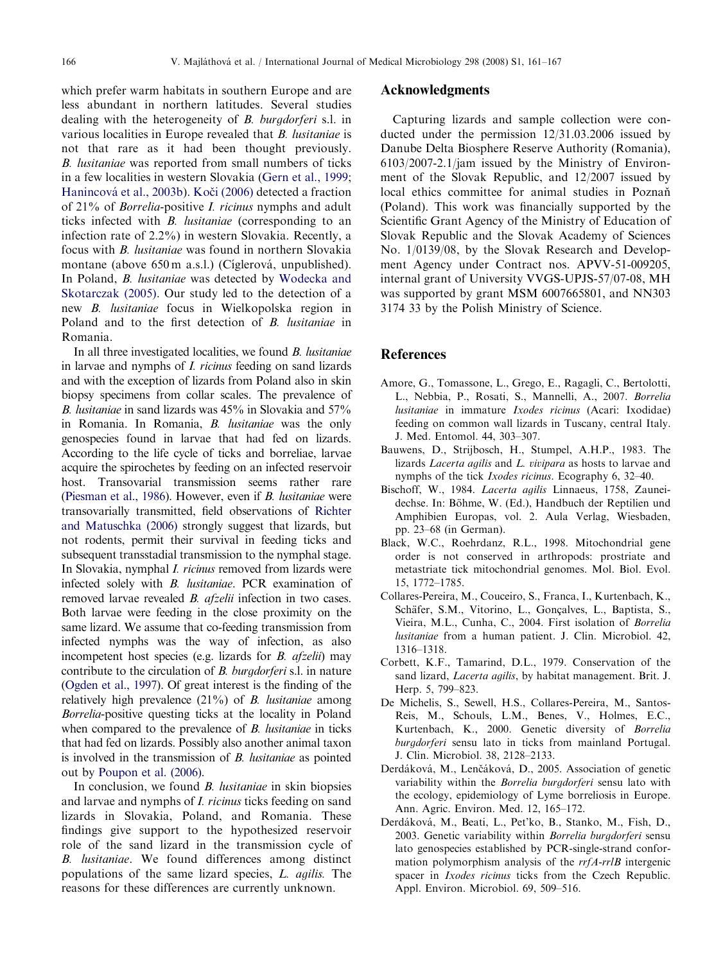<span id="page-5-0"></span>which prefer warm habitats in southern Europe and are less abundant in northern latitudes. Several studies dealing with the heterogeneity of B. burgdorferi s.l. in various localities in Europe revealed that B. lusitaniae is not that rare as it had been thought previously. B. lusitaniae was reported from small numbers of ticks in a few localities in western Slovakia [\(Gern et al., 1999](#page-6-0); Hanincová [et al., 2003b\)](#page-6-0). Koči (2006) detected a fraction of 21% of Borrelia-positive I. ricinus nymphs and adult ticks infected with B. lusitaniae (corresponding to an infection rate of 2.2%) in western Slovakia. Recently, a focus with B. lusitaniae was found in northern Slovakia montane (above 650 m a.s.l.) (Cíglerová, unpublished). In Poland, B. lusitaniae was detected by [Wodecka and](#page-6-0) [Skotarczak \(2005\).](#page-6-0) Our study led to the detection of a new B. lusitaniae focus in Wielkopolska region in Poland and to the first detection of B. lusitaniae in Romania.

In all three investigated localities, we found B. lusitaniae in larvae and nymphs of I. ricinus feeding on sand lizards and with the exception of lizards from Poland also in skin biopsy specimens from collar scales. The prevalence of B. lusitaniae in sand lizards was 45% in Slovakia and 57% in Romania. In Romania, B. lusitaniae was the only genospecies found in larvae that had fed on lizards. According to the life cycle of ticks and borreliae, larvae acquire the spirochetes by feeding on an infected reservoir host. Transovarial transmission seems rather rare ([Piesman et al., 1986](#page-6-0)). However, even if B. lusitaniae were transovarially transmitted, field observations of [Richter](#page-6-0) [and Matuschka \(2006\)](#page-6-0) strongly suggest that lizards, but not rodents, permit their survival in feeding ticks and subsequent transstadial transmission to the nymphal stage. In Slovakia, nymphal I. ricinus removed from lizards were infected solely with B. lusitaniae. PCR examination of removed larvae revealed B. afzelii infection in two cases. Both larvae were feeding in the close proximity on the same lizard. We assume that co-feeding transmission from infected nymphs was the way of infection, as also incompetent host species (e.g. lizards for *B. afzelii*) may contribute to the circulation of B. burgdorferi s.l. in nature ([Ogden et al., 1997](#page-6-0)). Of great interest is the finding of the relatively high prevalence (21%) of B. lusitaniae among Borrelia-positive questing ticks at the locality in Poland when compared to the prevalence of B. lusitaniae in ticks that had fed on lizards. Possibly also another animal taxon is involved in the transmission of B. lusitaniae as pointed out by [Poupon et al. \(2006\).](#page-6-0)

In conclusion, we found B. lusitaniae in skin biopsies and larvae and nymphs of I. ricinus ticks feeding on sand lizards in Slovakia, Poland, and Romania. These findings give support to the hypothesized reservoir role of the sand lizard in the transmission cycle of B. lusitaniae. We found differences among distinct populations of the same lizard species, L. agilis. The reasons for these differences are currently unknown.

## Acknowledgments

Capturing lizards and sample collection were conducted under the permission 12/31.03.2006 issued by Danube Delta Biosphere Reserve Authority (Romania), 6103/2007-2.1/jam issued by the Ministry of Environment of the Slovak Republic, and 12/2007 issued by local ethics committee for animal studies in Poznaň (Poland). This work was financially supported by the Scientific Grant Agency of the Ministry of Education of Slovak Republic and the Slovak Academy of Sciences No. 1/0139/08, by the Slovak Research and Development Agency under Contract nos. APVV-51-009205, internal grant of University VVGS-UPJS-57/07-08, MH was supported by grant MSM 6007665801, and NN303 3174 33 by the Polish Ministry of Science.

# References

- Amore, G., Tomassone, L., Grego, E., Ragagli, C., Bertolotti, L., Nebbia, P., Rosati, S., Mannelli, A., 2007. Borrelia lusitaniae in immature Ixodes ricinus (Acari: Ixodidae) feeding on common wall lizards in Tuscany, central Italy. J. Med. Entomol. 44, 303–307.
- Bauwens, D., Strijbosch, H., Stumpel, A.H.P., 1983. The lizards Lacerta agilis and L. vivipara as hosts to larvae and nymphs of the tick Ixodes ricinus. Ecography 6, 32–40.
- Bischoff, W., 1984. Lacerta agilis Linnaeus, 1758, Zauneidechse. In: Böhme, W. (Ed.), Handbuch der Reptilien und Amphibien Europas, vol. 2. Aula Verlag, Wiesbaden, pp. 23–68 (in German).
- Black, W.C., Roehrdanz, R.L., 1998. Mitochondrial gene order is not conserved in arthropods: prostriate and metastriate tick mitochondrial genomes. Mol. Biol. Evol. 15, 1772–1785.
- Collares-Pereira, M., Couceiro, S., Franca, I., Kurtenbach, K., Schäfer, S.M., Vitorino, L., Goncalves, L., Baptista, S., Vieira, M.L., Cunha, C., 2004. First isolation of Borrelia lusitaniae from a human patient. J. Clin. Microbiol. 42, 1316–1318.
- Corbett, K.F., Tamarind, D.L., 1979. Conservation of the sand lizard, Lacerta agilis, by habitat management. Brit. J. Herp. 5, 799–823.
- De Michelis, S., Sewell, H.S., Collares-Pereira, M., Santos-Reis, M., Schouls, L.M., Benes, V., Holmes, E.C., Kurtenbach, K., 2000. Genetic diversity of Borrelia burgdorferi sensu lato in ticks from mainland Portugal. J. Clin. Microbiol. 38, 2128–2133.
- Derdáková, M., Lenčáková, D., 2005. Association of genetic variability within the Borrelia burgdorferi sensu lato with the ecology, epidemiology of Lyme borreliosis in Europe. Ann. Agric. Environ. Med. 12, 165–172.
- Derdáková, M., Beati, L., Pet'ko, B., Stanko, M., Fish, D., 2003. Genetic variability within Borrelia burgdorferi sensu lato genospecies established by PCR-single-strand conformation polymorphism analysis of the  $rrA-rrlB$  intergenic spacer in *Ixodes ricinus* ticks from the Czech Republic. Appl. Environ. Microbiol. 69, 509–516.